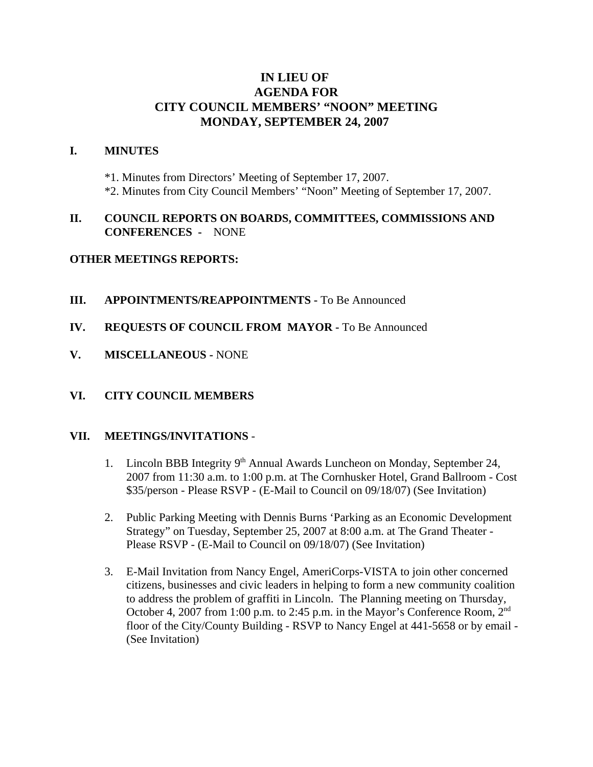# **IN LIEU OF AGENDA FOR CITY COUNCIL MEMBERS' "NOON" MEETING MONDAY, SEPTEMBER 24, 2007**

#### **I. MINUTES**

\*1. Minutes from Directors' Meeting of September 17, 2007. \*2. Minutes from City Council Members' "Noon" Meeting of September 17, 2007.

### **II. COUNCIL REPORTS ON BOARDS, COMMITTEES, COMMISSIONS AND CONFERENCES -** NONE

### **OTHER MEETINGS REPORTS:**

- **III.** APPOINTMENTS/REAPPOINTMENTS To Be Announced
- **IV. REQUESTS OF COUNCIL FROM MAYOR -** To Be Announced
- **V. MISCELLANEOUS** NONE

#### **VI. CITY COUNCIL MEMBERS**

#### **VII. MEETINGS/INVITATIONS** -

- 1. Lincoln BBB Integrity  $9<sup>th</sup>$  Annual Awards Luncheon on Monday, September 24, 2007 from 11:30 a.m. to 1:00 p.m. at The Cornhusker Hotel, Grand Ballroom - Cost \$35/person - Please RSVP - (E-Mail to Council on 09/18/07) (See Invitation)
- 2. Public Parking Meeting with Dennis Burns 'Parking as an Economic Development Strategy" on Tuesday, September 25, 2007 at 8:00 a.m. at The Grand Theater - Please RSVP - (E-Mail to Council on 09/18/07) (See Invitation)
- 3. E-Mail Invitation from Nancy Engel, AmeriCorps-VISTA to join other concerned citizens, businesses and civic leaders in helping to form a new community coalition to address the problem of graffiti in Lincoln. The Planning meeting on Thursday, October 4, 2007 from 1:00 p.m. to 2:45 p.m. in the Mayor's Conference Room, 2nd floor of the City/County Building - RSVP to Nancy Engel at 441-5658 or by email - (See Invitation)